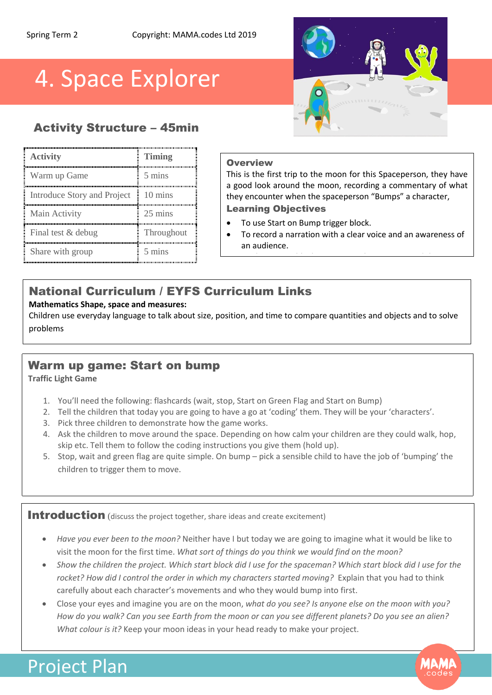# 4. Space Explorer

## Activity Structure – 45min

| <b>Activity</b>             | <b>Timing</b>    |
|-----------------------------|------------------|
| Warm up Game                | 5 mins           |
| Introduce Story and Project | 10 mins          |
| Main Activity               | 25 mins          |
| Final test & debug          | Throughout       |
| Share with group            | $5 \text{ mins}$ |

### **Overview**

This is the first trip to the moon for this Spaceperson, they have a good look around the moon, recording a commentary of what they encounter when the spaceperson "Bumps" a character,

### Learning Objectives

- To use Start on Bump trigger block.
- To record a narration with a clear voice and an awareness of an audience.

To use the motion blocks to move a character around the screen

# National Curriculum / EYFS Curriculum Links

### **Mathematics Shape, space and measures:**

Children use everyday language to talk about size, position, and time to compare quantities and objects and to solve problems

## Warm up game: Start on bump

### **Traffic Light Game**

- 1. You'll need the following: flashcards (wait, stop, Start on Green Flag and Start on Bump)
- 2. Tell the children that today you are going to have a go at 'coding' them. They will be your 'characters'.
- 3. Pick three children to demonstrate how the game works.
- 4. Ask the children to move around the space. Depending on how calm your children are they could walk, hop, skip etc. Tell them to follow the coding instructions you give them (hold up).
- 5. Stop, wait and green flag are quite simple. On bump pick a sensible child to have the job of 'bumping' the children to trigger them to move.

Introduction (discuss the project together, share ideas and create excitement)

- *Have you ever been to the moon?* Neither have I but today we are going to imagine what it would be like to visit the moon for the first time. *What sort of things do you think we would find on the moon?*
- *Show the children the project. Which start block did I use for the spaceman? Which start block did I use for the rocket? How did I control the order in which my characters started moving?* Explain that you had to think carefully about each character's movements and who they would bump into first.
- Close your eyes and imagine you are on the moon, *what do you see? Is anyone else on the moon with you? How do you walk? Can you see Earth from the moon or can you see different planets? Do you see an alien? What colour is it?* Keep your moon ideas in your head ready to make your project.

# Project Plan